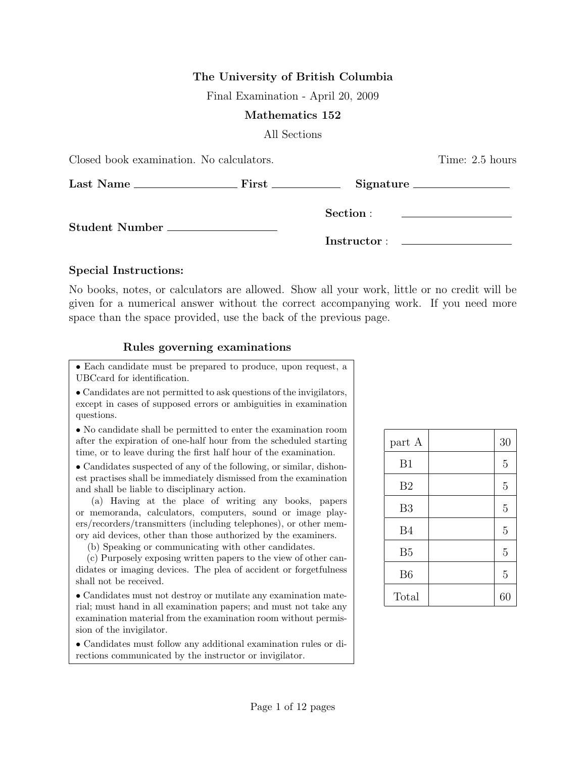# The University of British Columbia

Final Examination - April 20, 2009

### Mathematics 152

All Sections

| Closed book examination. No calculators. |  | Time: 2.5 hours |                                                                            |  |
|------------------------------------------|--|-----------------|----------------------------------------------------------------------------|--|
|                                          |  |                 |                                                                            |  |
| Student Number __________________        |  | Section :       | the control of the control of the control of the control of the control of |  |
|                                          |  |                 |                                                                            |  |

### Special Instructions:

No books, notes, or calculators are allowed. Show all your work, little or no credit will be given for a numerical answer without the correct accompanying work. If you need more space than the space provided, use the back of the previous page.

## Rules governing examinations

• Each candidate must be prepared to produce, upon request, a UBCcard for identification.

• Candidates are not permitted to ask questions of the invigilators, except in cases of supposed errors or ambiguities in examination questions.

• No candidate shall be permitted to enter the examination room after the expiration of one-half hour from the scheduled starting time, or to leave during the first half hour of the examination.

• Candidates suspected of any of the following, or similar, dishonest practises shall be immediately dismissed from the examination and shall be liable to disciplinary action.

(a) Having at the place of writing any books, papers or memoranda, calculators, computers, sound or image players/recorders/transmitters (including telephones), or other memory aid devices, other than those authorized by the examiners.

(b) Speaking or communicating with other candidates.

(c) Purposely exposing written papers to the view of other candidates or imaging devices. The plea of accident or forgetfulness shall not be received.

• Candidates must not destroy or mutilate any examination material; must hand in all examination papers; and must not take any examination material from the examination room without permission of the invigilator.

• Candidates must follow any additional examination rules or directions communicated by the instructor or invigilator.

| part A         | 30             |
|----------------|----------------|
| B1             | $\overline{5}$ |
| B <sub>2</sub> | $\overline{5}$ |
| B <sub>3</sub> | $\overline{5}$ |
| <b>B4</b>      | $\overline{5}$ |
| B <sub>5</sub> | $\overline{5}$ |
| B <sub>6</sub> | $\overline{5}$ |
| Total          | 60             |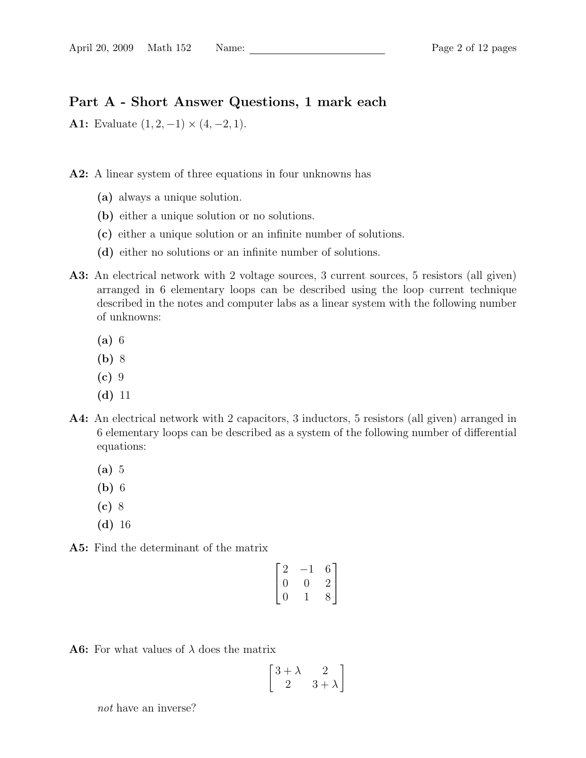# Part A - Short Answer Questions, 1 mark each

A1: Evaluate  $(1, 2, -1) \times (4, -2, 1)$ .

A2: A linear system of three equations in four unknowns has

- (a) always a unique solution.
- (b) either a unique solution or no solutions.
- (c) either a unique solution or an infinite number of solutions.
- (d) either no solutions or an infinite number of solutions.
- A3: An electrical network with 2 voltage sources, 3 current sources, 5 resistors (all given) arranged in 6 elementary loops can be described using the loop current technique described in the notes and computer labs as a linear system with the following number of unknowns:
	- (a) 6
	- (b) 8
	- $(c)$  9
	- (d) 11
- A4: An electrical network with 2 capacitors, 3 inductors, 5 resistors (all given) arranged in 6 elementary loops can be described as a system of the following number of differential equations:
	- (a) 5
	- (b) 6
	- (c) 8
	- (d) 16

A5: Find the determinant of the matrix

$$
\begin{bmatrix} 2 & -1 & 6 \ 0 & 0 & 2 \ 0 & 1 & 8 \end{bmatrix}
$$

**A6:** For what values of  $\lambda$  does the matrix

$$
\begin{bmatrix} 3+\lambda & 2\\ 2 & 3+\lambda \end{bmatrix}
$$

not have an inverse?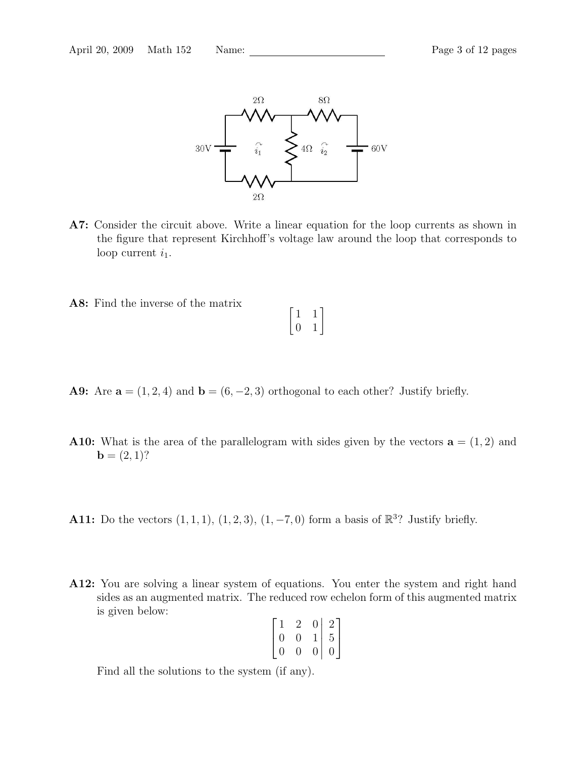

- A7: Consider the circuit above. Write a linear equation for the loop currents as shown in the figure that represent Kirchhoff's voltage law around the loop that corresponds to loop current  $i_1$ .
- A8: Find the inverse of the matrix  $\begin{bmatrix} 1 & 1 \\ 0 & 1 \end{bmatrix}$
- A9: Are  $\mathbf{a} = (1, 2, 4)$  and  $\mathbf{b} = (6, -2, 3)$  orthogonal to each other? Justify briefly.
- A10: What is the area of the parallelogram with sides given by the vectors  $\mathbf{a} = (1, 2)$  and  $$
- **A11:** Do the vectors  $(1, 1, 1), (1, 2, 3), (1, -7, 0)$  form a basis of  $\mathbb{R}^3$ ? Justify briefly.
- A12: You are solving a linear system of equations. You enter the system and right hand sides as an augmented matrix. The reduced row echelon form of this augmented matrix is given below:

| $\lceil 1 \rceil$ | $\overline{2}$ | 0 <sup>1</sup>                       |                                             |
|-------------------|----------------|--------------------------------------|---------------------------------------------|
| $\overline{0}$    | $\overline{0}$ | $\begin{matrix} 1 \\ 0 \end{matrix}$ |                                             |
| $\mid 0$          | 0              |                                      | $\begin{bmatrix} 2 \\ 5 \\ 0 \end{bmatrix}$ |

Find all the solutions to the system (if any).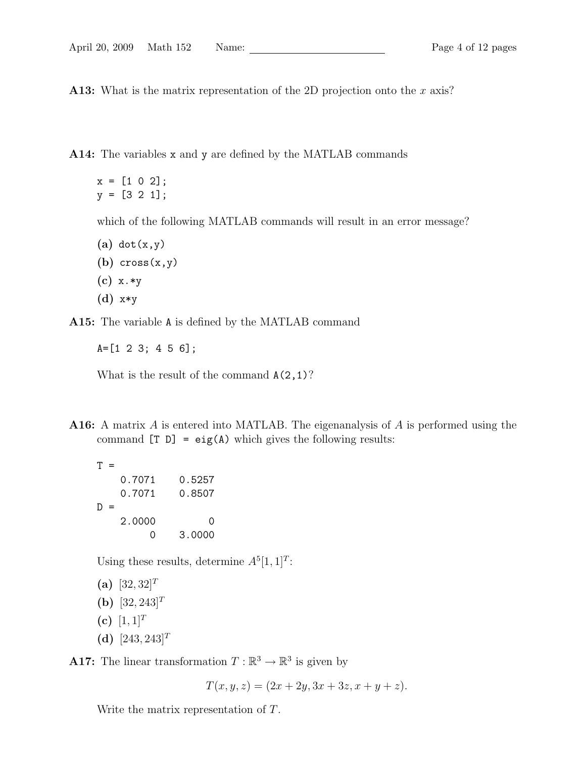A13: What is the matrix representation of the 2D projection onto the x axis?

A14: The variables x and y are defined by the MATLAB commands

 $x = [1 \ 0 \ 2];$ y = [3 2 1];

which of the following MATLAB commands will result in an error message?

- $(a)$  dot $(x,y)$
- (b)  $cross(x,y)$
- (c) x.\*y
- (d) x\*y

A15: The variable A is defined by the MATLAB command

A=[1 2 3; 4 5 6];

What is the result of the command  $A(2,1)$ ?

A16: A matrix A is entered into MATLAB. The eigenanalysis of A is performed using the command  $[T D] = eig(A)$  which gives the following results:

 $T =$ 0.7071 0.5257 0.7071 0.8507  $D =$ 2.0000 0 0 3.0000

Using these results, determine  $A^{5}[1, 1]^{T}$ :

(a)  $[32, 32]^T$ (b)  $[32, 243]^T$ 

- (c)  $[1, 1]^T$
- (d)  $[243, 243]^T$

**A17:** The linear transformation  $T : \mathbb{R}^3 \to \mathbb{R}^3$  is given by

 $T(x, y, z) = (2x + 2y, 3x + 3z, x + y + z).$ 

Write the matrix representation of T.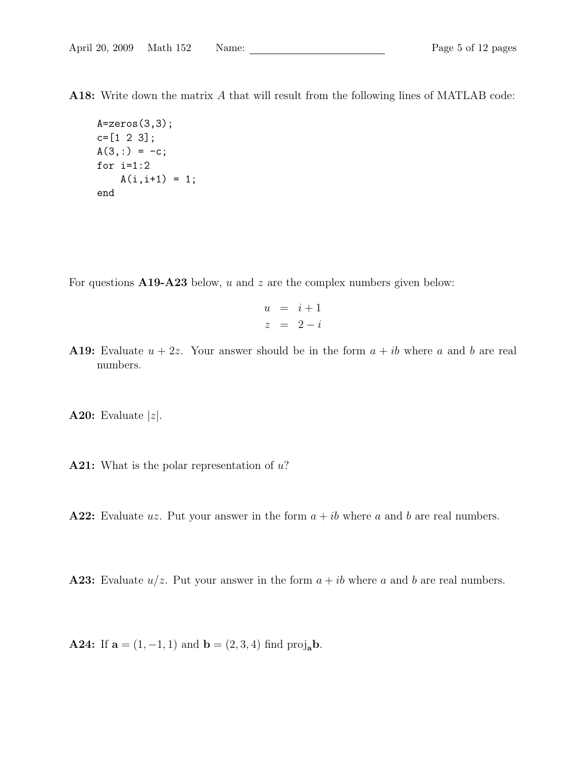A18: Write down the matrix A that will result from the following lines of MATLAB code:

```
A = zeros(3,3);c=[1 2 3];
A(3,:) = -c;for i=1:2
    A(i, i+1) = 1;end
```
For questions  $A19-A23$  below, u and z are the complex numbers given below:

$$
\begin{array}{rcl} u & = & i+1 \\ z & = & 2-i \end{array}
$$

A19: Evaluate  $u + 2z$ . Your answer should be in the form  $a + ib$  where a and b are real numbers.

**A20:** Evaluate  $|z|$ .

**A21:** What is the polar representation of  $u$ ?

A22: Evaluate uz. Put your answer in the form  $a + ib$  where a and b are real numbers.

**A23:** Evaluate  $u/z$ . Put your answer in the form  $a + ib$  where a and b are real numbers.

**A24:** If  $a = (1, -1, 1)$  and  $b = (2, 3, 4)$  find proj<sub>a</sub>b.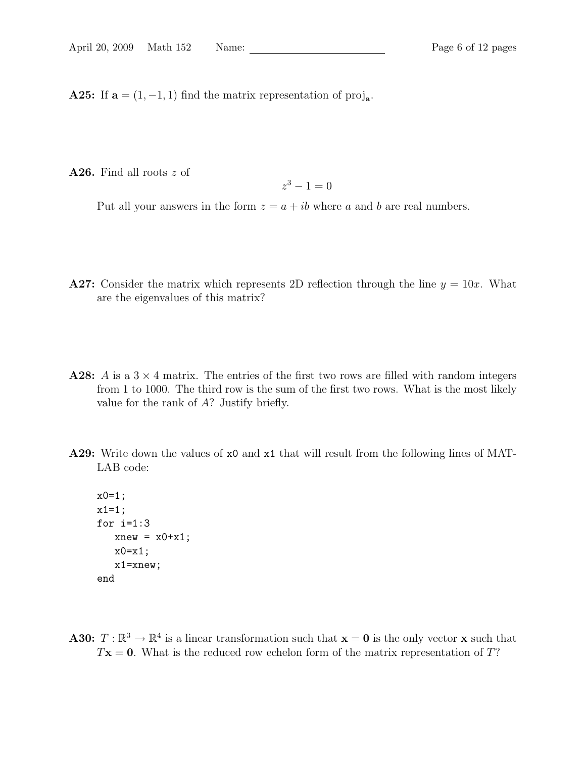**A25:** If  $\mathbf{a} = (1, -1, 1)$  find the matrix representation of  $\text{proj}_{\mathbf{a}}$ .

A26. Find all roots z of

$$
z^3 - 1 = 0
$$

Put all your answers in the form  $z = a + ib$  where a and b are real numbers.

- A27: Consider the matrix which represents 2D reflection through the line  $y = 10x$ . What are the eigenvalues of this matrix?
- **A28:** A is a  $3 \times 4$  matrix. The entries of the first two rows are filled with random integers from 1 to 1000. The third row is the sum of the first two rows. What is the most likely value for the rank of A? Justify briefly.
- A29: Write down the values of  $x0$  and  $x1$  that will result from the following lines of MAT-LAB code:

```
x0=1;
x1=1;for i=1:3xnew = x0+x1;x0=x1;x1=xnew;
end
```
**A30:**  $T : \mathbb{R}^3 \to \mathbb{R}^4$  is a linear transformation such that  $\mathbf{x} = \mathbf{0}$  is the only vector **x** such that  $T\mathbf{x} = \mathbf{0}$ . What is the reduced row echelon form of the matrix representation of T?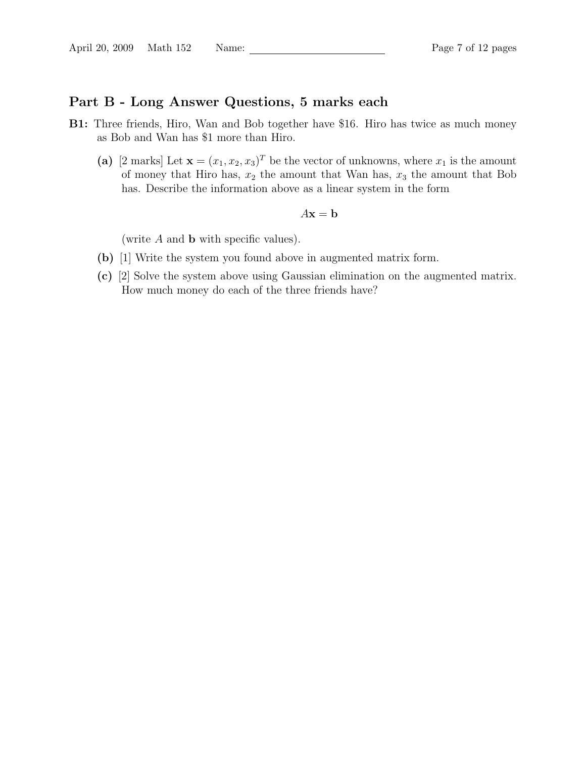# Part B - Long Answer Questions, 5 marks each

- B1: Three friends, Hiro, Wan and Bob together have \$16. Hiro has twice as much money as Bob and Wan has \$1 more than Hiro.
	- (a) [2 marks] Let  $\mathbf{x} = (x_1, x_2, x_3)^T$  be the vector of unknowns, where  $x_1$  is the amount of money that Hiro has,  $x_2$  the amount that Wan has,  $x_3$  the amount that Bob has. Describe the information above as a linear system in the form

$$
A\mathbf{x} = \mathbf{b}
$$

(write  $A$  and  $b$  with specific values).

- (b) [1] Write the system you found above in augmented matrix form.
- (c) [2] Solve the system above using Gaussian elimination on the augmented matrix. How much money do each of the three friends have?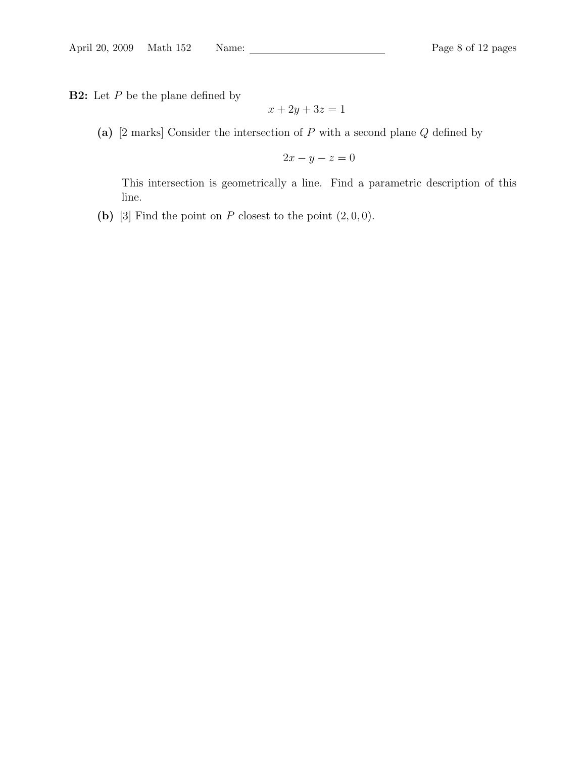**B2:** Let  $P$  be the plane defined by

$$
x + 2y + 3z = 1
$$

(a) [2 marks] Consider the intersection of  $P$  with a second plane  $Q$  defined by

$$
2x - y - z = 0
$$

This intersection is geometrically a line. Find a parametric description of this line.

(b) [3] Find the point on  $P$  closest to the point  $(2, 0, 0)$ .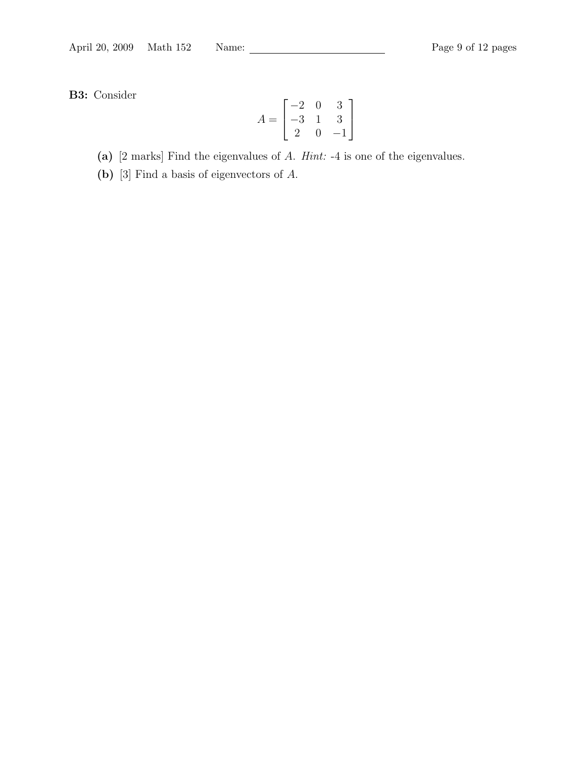B3: Consider

$$
A = \begin{bmatrix} -2 & 0 & 3 \\ -3 & 1 & 3 \\ 2 & 0 & -1 \end{bmatrix}
$$

(a) [2 marks] Find the eigenvalues of A. Hint: -4 is one of the eigenvalues.

(b) [3] Find a basis of eigenvectors of A.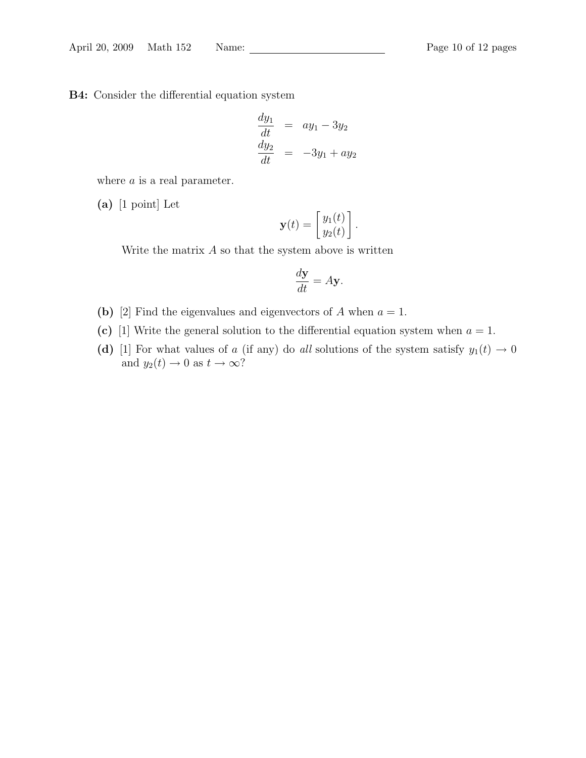B4: Consider the differential equation system

$$
\frac{dy_1}{dt} = ay_1 - 3y_2
$$
  

$$
\frac{dy_2}{dt} = -3y_1 + ay_2
$$

where  $a$  is a real parameter.

(a) [1 point] Let

$$
\mathbf{y}(t) = \begin{bmatrix} y_1(t) \\ y_2(t) \end{bmatrix}.
$$

Write the matrix  $A$  so that the system above is written

$$
\frac{d\mathbf{y}}{dt} = A\mathbf{y}.
$$

- (b) [2] Find the eigenvalues and eigenvectors of A when  $a = 1$ .
- (c) [1] Write the general solution to the differential equation system when  $a = 1$ .
- (d) [1] For what values of a (if any) do all solutions of the system satisfy  $y_1(t) \rightarrow 0$ and  $y_2(t) \to 0$  as  $t \to \infty$ ?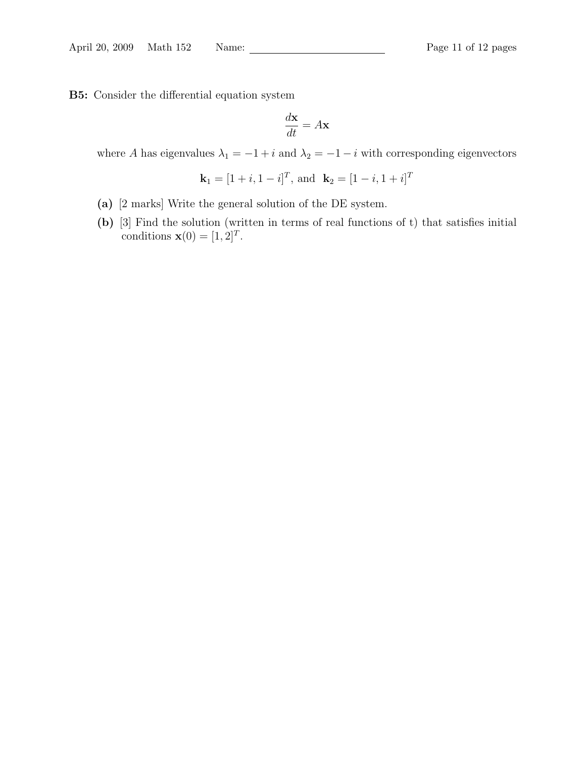B5: Consider the differential equation system

$$
\frac{d\mathbf{x}}{dt} = A\mathbf{x}
$$

where A has eigenvalues  $\lambda_1 = -1 + i$  and  $\lambda_2 = -1 - i$  with corresponding eigenvectors

$$
\mathbf{k}_1 = [1 + i, 1 - i]^T
$$
, and  $\mathbf{k}_2 = [1 - i, 1 + i]^T$ 

- (a) [2 marks] Write the general solution of the DE system.
- (b) [3] Find the solution (written in terms of real functions of t) that satisfies initial conditions  $\mathbf{x}(0) = [1, 2]^T$ .